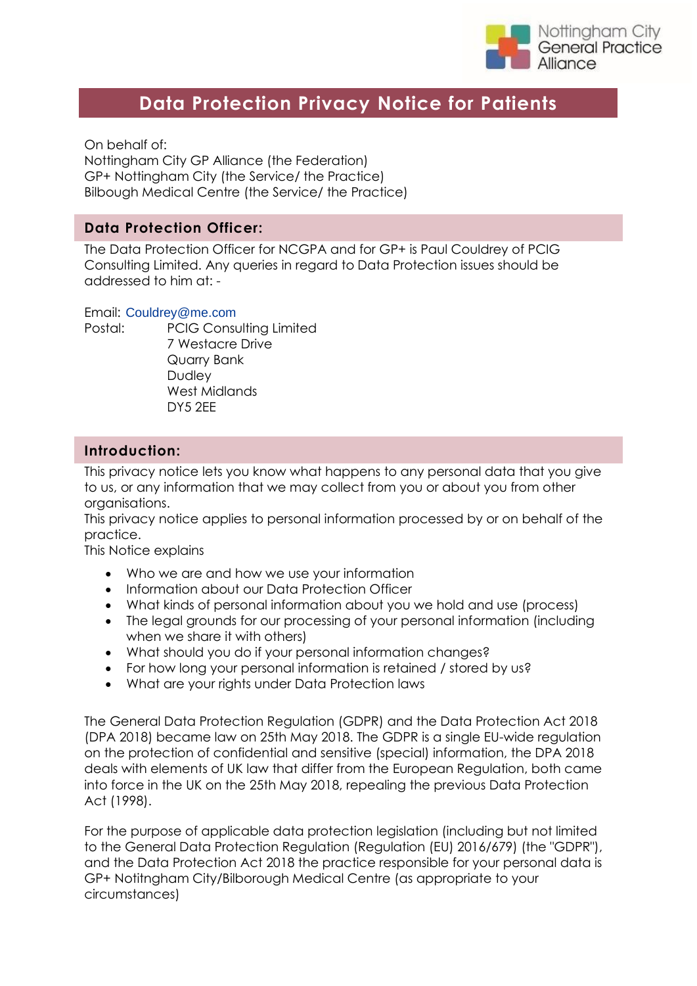

# **Data Protection Privacy Notice for Patients**

On behalf of: Nottingham City GP Alliance (the Federation) GP+ Nottingham City (the Service/ the Practice) Bilbough Medical Centre (the Service/ the Practice)

### **Data Protection Officer:**

The Data Protection Officer for NCGPA and for GP+ is Paul Couldrey of PCIG Consulting Limited. Any queries in regard to Data Protection issues should be addressed to him at: -

#### Email: [Couldrey@me.com](mailto:Couldrey@me.com)

Postal: PCIG Consulting Limited 7 Westacre Drive Quarry Bank Dudley West Midlands DY5 2EE

### **Introduction:**

This privacy notice lets you know what happens to any personal data that you give to us, or any information that we may collect from you or about you from other organisations.

This privacy notice applies to personal information processed by or on behalf of the practice.

This Notice explains

- Who we are and how we use your information
- Information about our Data Protection Officer
- What kinds of personal information about you we hold and use (process)
- The legal grounds for our processing of your personal information (including when we share it with others)
- What should you do if your personal information changes?
- For how long your personal information is retained / stored by us?
- What are your rights under Data Protection laws

The General Data Protection Regulation (GDPR) and the Data Protection Act 2018 (DPA 2018) became law on 25th May 2018. The GDPR is a single EU-wide regulation on the protection of confidential and sensitive (special) information, the DPA 2018 deals with elements of UK law that differ from the European Regulation, both came into force in the UK on the 25th May 2018, repealing the previous Data Protection Act (1998).

For the purpose of applicable data protection legislation (including but not limited to the General Data Protection Regulation (Regulation (EU) 2016/679) (the "GDPR"), and the Data Protection Act 2018 the practice responsible for your personal data is GP+ Notitngham City/Bilborough Medical Centre (as appropriate to your circumstances)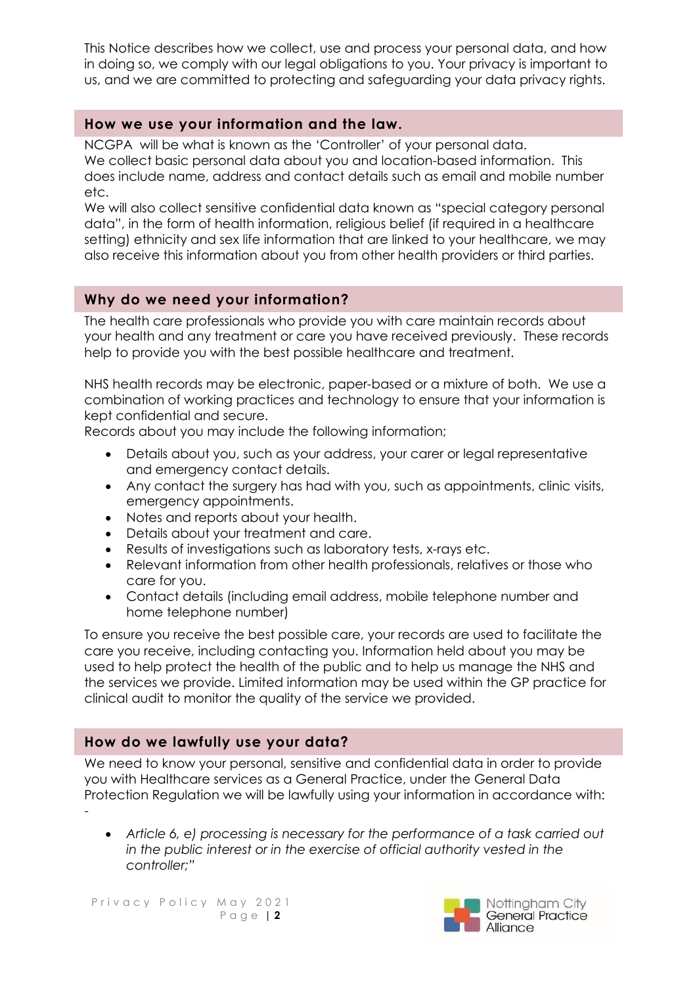This Notice describes how we collect, use and process your personal data, and how in doing so, we comply with our legal obligations to you. Your privacy is important to us, and we are committed to protecting and safeguarding your data privacy rights.

## **How we use your information and the law.**

NCGPA will be what is known as the 'Controller' of your personal data. We collect basic personal data about you and location-based information. This does include name, address and contact details such as email and mobile number etc.

We will also collect sensitive confidential data known as "special category personal data", in the form of health information, religious belief (if required in a healthcare setting) ethnicity and sex life information that are linked to your healthcare, we may also receive this information about you from other health providers or third parties.

## **Why do we need your information?**

The health care professionals who provide you with care maintain records about your health and any treatment or care you have received previously. These records help to provide you with the best possible healthcare and treatment.

NHS health records may be electronic, paper-based or a mixture of both. We use a combination of working practices and technology to ensure that your information is kept confidential and secure.

Records about you may include the following information;

- Details about you, such as your address, your carer or legal representative and emergency contact details.
- Any contact the surgery has had with you, such as appointments, clinic visits, emergency appointments.
- Notes and reports about your health.
- Details about your treatment and care.
- Results of investigations such as laboratory tests, x-rays etc.
- Relevant information from other health professionals, relatives or those who care for you.
- Contact details (including email address, mobile telephone number and home telephone number)

To ensure you receive the best possible care, your records are used to facilitate the care you receive, including contacting you. Information held about you may be used to help protect the health of the public and to help us manage the NHS and the services we provide. Limited information may be used within the GP practice for clinical audit to monitor the quality of the service we provided.

## **How do we lawfully use your data?**

We need to know your personal, sensitive and confidential data in order to provide you with Healthcare services as a General Practice, under the General Data Protection Regulation we will be lawfully using your information in accordance with: -

• *Article 6, e) processing is necessary for the performance of a task carried out in the public interest or in the exercise of official authority vested in the controller;"* 

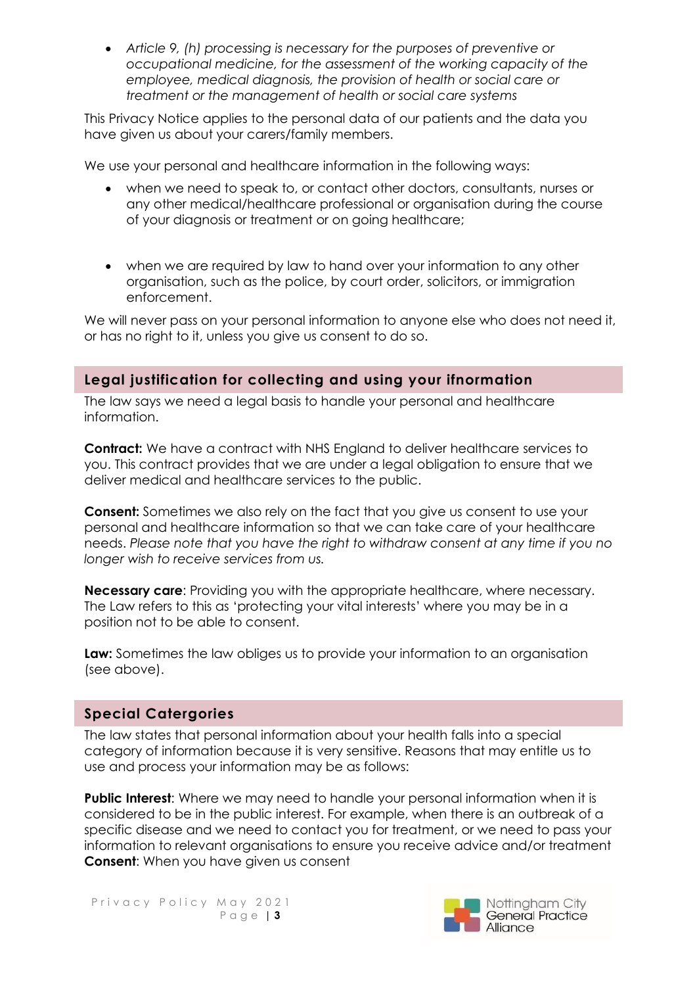• *Article 9, (h) processing is necessary for the purposes of preventive or occupational medicine, for the assessment of the working capacity of the employee, medical diagnosis, the provision of health or social care or treatment or the management of health or social care systems* 

This Privacy Notice applies to the personal data of our patients and the data you have given us about your carers/family members.

We use your personal and healthcare information in the following ways:

- when we need to speak to, or contact other doctors, consultants, nurses or any other medical/healthcare professional or organisation during the course of your diagnosis or treatment or on going healthcare;
- when we are required by law to hand over your information to any other organisation, such as the police, by court order, solicitors, or immigration enforcement.

We will never pass on your personal information to anyone else who does not need it, or has no right to it, unless you give us consent to do so.

## **Legal justification for collecting and using your ifnormation**

The law says we need a legal basis to handle your personal and healthcare information.

**Contract:** We have a contract with NHS England to deliver healthcare services to you. This contract provides that we are under a legal obligation to ensure that we deliver medical and healthcare services to the public.

**Consent:** Sometimes we also rely on the fact that you give us consent to use your personal and healthcare information so that we can take care of your healthcare needs. *Please note that you have the right to withdraw consent at any time if you no longer wish to receive services from us.*

**Necessary care**: Providing you with the appropriate healthcare, where necessary. The Law refers to this as 'protecting your vital interests' where you may be in a position not to be able to consent.

**Law:** Sometimes the law obliges us to provide your information to an organisation (see above).

## **Special Catergories**

The law states that personal information about your health falls into a special category of information because it is very sensitive. Reasons that may entitle us to use and process your information may be as follows:

**Public Interest**: Where we may need to handle your personal information when it is considered to be in the public interest. For example, when there is an outbreak of a specific disease and we need to contact you for treatment, or we need to pass your information to relevant organisations to ensure you receive advice and/or treatment **Consent**: When you have given us consent

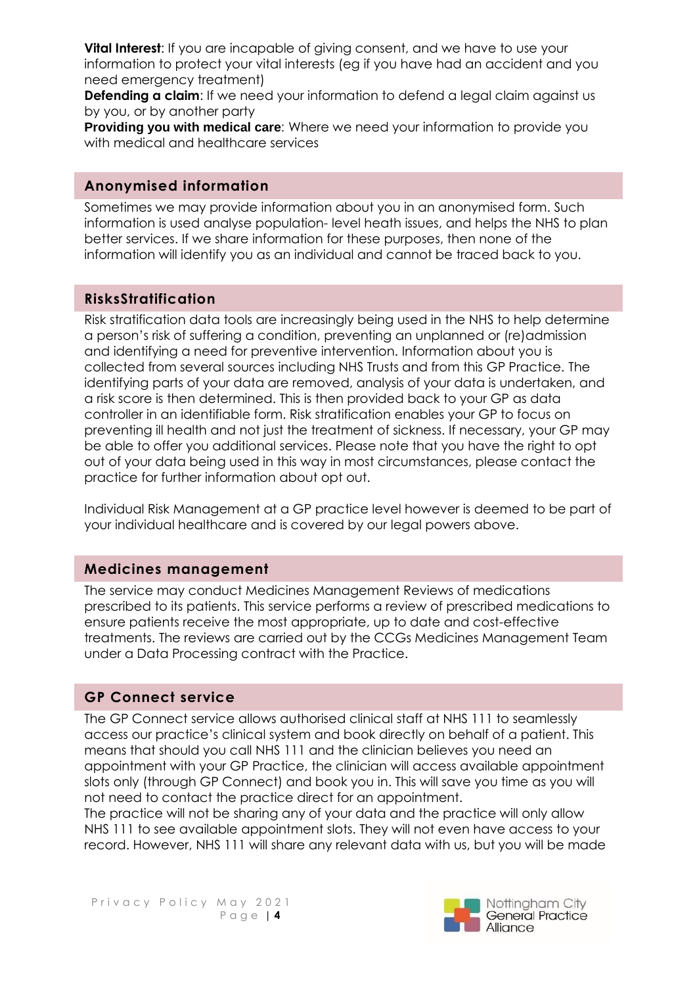**Vital Interest:** If you are incapable of giving consent, and we have to use your information to protect your vital interests (eg if you have had an accident and you need emergency treatment)

**Defending a claim:** If we need your information to defend a legal claim against us by you, or by another party

**Providing you with medical care**: Where we need your information to provide you with medical and healthcare services

### **Anonymised information**

Sometimes we may provide information about you in an anonymised form. Such information is used analyse population- level heath issues, and helps the NHS to plan better services. If we share information for these purposes, then none of the information will identify you as an individual and cannot be traced back to you.

## **RisksStratification**

Risk stratification data tools are increasingly being used in the NHS to help determine a person's risk of suffering a condition, preventing an unplanned or (re)admission and identifying a need for preventive intervention. Information about you is collected from several sources including NHS Trusts and from this GP Practice. The identifying parts of your data are removed, analysis of your data is undertaken, and a risk score is then determined. This is then provided back to your GP as data controller in an identifiable form. Risk stratification enables your GP to focus on preventing ill health and not just the treatment of sickness. If necessary, your GP may be able to offer you additional services. Please note that you have the right to opt out of your data being used in this way in most circumstances, please contact the practice for further information about opt out.

Individual Risk Management at a GP practice level however is deemed to be part of your individual healthcare and is covered by our legal powers above.

## **Medicines management**

The service may conduct Medicines Management Reviews of medications prescribed to its patients. This service performs a review of prescribed medications to ensure patients receive the most appropriate, up to date and cost-effective treatments. The reviews are carried out by the CCGs Medicines Management Team under a Data Processing contract with the Practice.

## **GP Connect service**

The GP Connect service allows authorised clinical staff at NHS 111 to seamlessly access our practice's clinical system and book directly on behalf of a patient. This means that should you call NHS 111 and the clinician believes you need an appointment with your GP Practice, the clinician will access available appointment slots only (through GP Connect) and book you in. This will save you time as you will not need to contact the practice direct for an appointment.

The practice will not be sharing any of your data and the practice will only allow NHS 111 to see available appointment slots. They will not even have access to your record. However, NHS 111 will share any relevant data with us, but you will be made

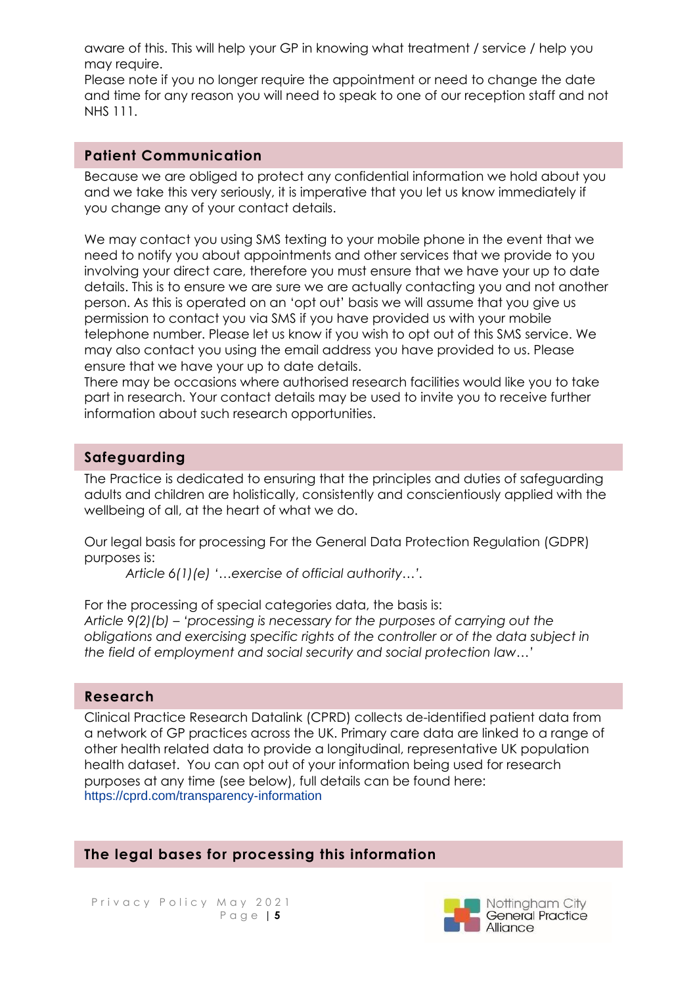aware of this. This will help your GP in knowing what treatment / service / help you may require.

Please note if you no longer require the appointment or need to change the date and time for any reason you will need to speak to one of our reception staff and not NHS 111.

### **Patient Communication**

Because we are obliged to protect any confidential information we hold about you and we take this very seriously, it is imperative that you let us know immediately if you change any of your contact details.

We may contact you using SMS texting to your mobile phone in the event that we need to notify you about appointments and other services that we provide to you involving your direct care, therefore you must ensure that we have your up to date details. This is to ensure we are sure we are actually contacting you and not another person. As this is operated on an 'opt out' basis we will assume that you give us permission to contact you via SMS if you have provided us with your mobile telephone number. Please let us know if you wish to opt out of this SMS service. We may also contact you using the email address you have provided to us. Please ensure that we have your up to date details.

There may be occasions where authorised research facilities would like you to take part in research. Your contact details may be used to invite you to receive further information about such research opportunities.

### **Safeguarding**

The Practice is dedicated to ensuring that the principles and duties of safeguarding adults and children are holistically, consistently and conscientiously applied with the wellbeing of all, at the heart of what we do.

Our legal basis for processing For the General Data Protection Regulation (GDPR) purposes is:

*Article 6(1)(e) '…exercise of official authority…'.* 

For the processing of special categories data, the basis is: *Article 9(2)(b) – 'processing is necessary for the purposes of carrying out the obligations and exercising specific rights of the controller or of the data subject in the field of employment and social security and social protection law…'*

### **Research**

Clinical Practice Research Datalink (CPRD) collects de-identified patient data from a network of GP practices across the UK. Primary care data are linked to a range of other health related data to provide a longitudinal, representative UK population health dataset. You can opt out of your information being used for research purposes at any time (see below), full details can be found here: <https://cprd.com/transparency-information>

### **The legal bases for processing this information**

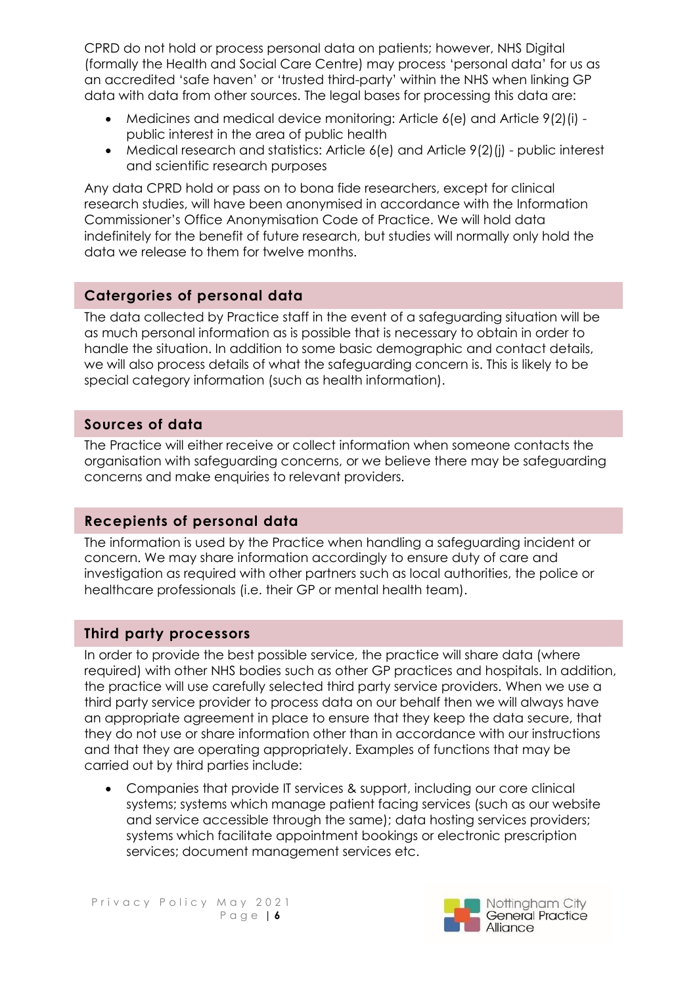CPRD do not hold or process personal data on patients; however, NHS Digital (formally the Health and Social Care Centre) may process 'personal data' for us as an accredited 'safe haven' or 'trusted third-party' within the NHS when linking GP data with data from other sources. The legal bases for processing this data are:

- Medicines and medical device monitoring: Article 6(e) and Article 9(2)(i) public interest in the area of public health
- Medical research and statistics: Article 6(e) and Article 9(2)(i) public interest and scientific research purposes

Any data CPRD hold or pass on to bona fide researchers, except for clinical research studies, will have been anonymised in accordance with the Information Commissioner's Office Anonymisation Code of Practice. We will hold data indefinitely for the benefit of future research, but studies will normally only hold the data we release to them for twelve months.

## **Catergories of personal data**

The data collected by Practice staff in the event of a safeguarding situation will be as much personal information as is possible that is necessary to obtain in order to handle the situation. In addition to some basic demographic and contact details, we will also process details of what the safeguarding concern is. This is likely to be special category information (such as health information).

## **Sources of data**

The Practice will either receive or collect information when someone contacts the organisation with safeguarding concerns, or we believe there may be safeguarding concerns and make enquiries to relevant providers.

## **Recepients of personal data**

The information is used by the Practice when handling a safeguarding incident or concern. We may share information accordingly to ensure duty of care and investigation as required with other partners such as local authorities, the police or healthcare professionals (i.e. their GP or mental health team).

## **Third party processors**

In order to provide the best possible service, the practice will share data (where required) with other NHS bodies such as other GP practices and hospitals. In addition, the practice will use carefully selected third party service providers. When we use a third party service provider to process data on our behalf then we will always have an appropriate agreement in place to ensure that they keep the data secure, that they do not use or share information other than in accordance with our instructions and that they are operating appropriately. Examples of functions that may be carried out by third parties include:

• Companies that provide IT services & support, including our core clinical systems; systems which manage patient facing services (such as our website and service accessible through the same); data hosting services providers; systems which facilitate appointment bookings or electronic prescription services; document management services etc.

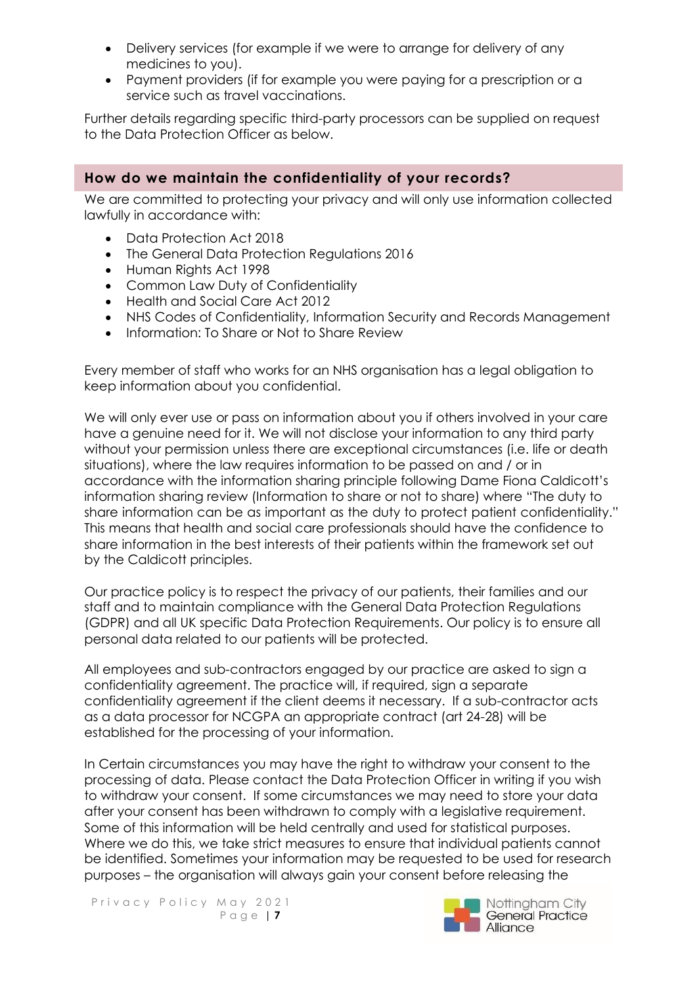- Delivery services (for example if we were to arrange for delivery of any medicines to you).
- Payment providers (if for example you were paying for a prescription or a service such as travel vaccinations.

Further details regarding specific third-party processors can be supplied on request to the Data Protection Officer as below.

## **How do we maintain the confidentiality of your records?**

We are committed to protecting your privacy and will only use information collected lawfully in accordance with:

- Data Protection Act 2018
- The General Data Protection Regulations 2016
- Human Rights Act 1998
- Common Law Duty of Confidentiality
- Health and Social Care Act 2012
- NHS Codes of Confidentiality, Information Security and Records Management
- Information: To Share or Not to Share Review

Every member of staff who works for an NHS organisation has a legal obligation to keep information about you confidential.

We will only ever use or pass on information about you if others involved in your care have a genuine need for it. We will not disclose your information to any third party without your permission unless there are exceptional circumstances (i.e. life or death situations), where the law requires information to be passed on and / or in accordance with the information sharing principle following Dame Fiona Caldicott's information sharing review (Information to share or not to share) where "The duty to share information can be as important as the duty to protect patient confidentiality." This means that health and social care professionals should have the confidence to share information in the best interests of their patients within the framework set out by the Caldicott principles.

Our practice policy is to respect the privacy of our patients, their families and our staff and to maintain compliance with the General Data Protection Regulations (GDPR) and all UK specific Data Protection Requirements. Our policy is to ensure all personal data related to our patients will be protected.

All employees and sub-contractors engaged by our practice are asked to sign a confidentiality agreement. The practice will, if required, sign a separate confidentiality agreement if the client deems it necessary. If a sub-contractor acts as a data processor for NCGPA an appropriate contract (art 24-28) will be established for the processing of your information.

In Certain circumstances you may have the right to withdraw your consent to the processing of data. Please contact the Data Protection Officer in writing if you wish to withdraw your consent. If some circumstances we may need to store your data after your consent has been withdrawn to comply with a legislative requirement. Some of this information will be held centrally and used for statistical purposes. Where we do this, we take strict measures to ensure that individual patients cannot be identified. Sometimes your information may be requested to be used for research purposes – the organisation will always gain your consent before releasing the

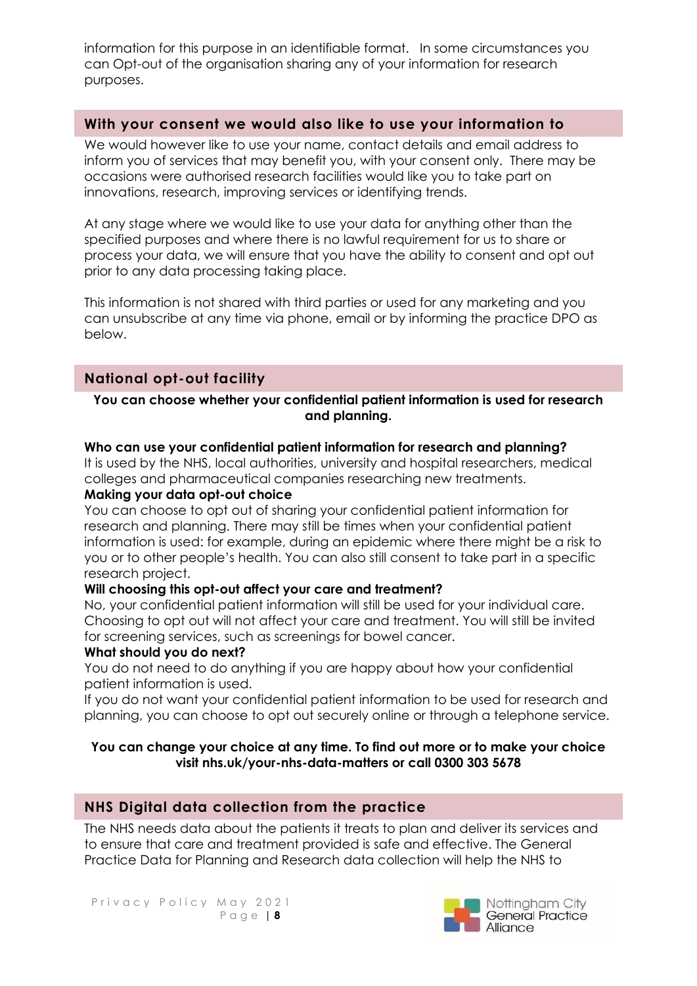information for this purpose in an identifiable format. In some circumstances you can Opt-out of the organisation sharing any of your information for research purposes.

### **With your consent we would also like to use your information to**

We would however like to use your name, contact details and email address to inform you of services that may benefit you, with your consent only. There may be occasions were authorised research facilities would like you to take part on innovations, research, improving services or identifying trends.

At any stage where we would like to use your data for anything other than the specified purposes and where there is no lawful requirement for us to share or process your data, we will ensure that you have the ability to consent and opt out prior to any data processing taking place.

This information is not shared with third parties or used for any marketing and you can unsubscribe at any time via phone, email or by informing the practice DPO as below.

### **National opt-out facility**

#### **You can choose whether your confidential patient information is used for research and planning.**

#### **Who can use your confidential patient information for research and planning?**

It is used by the NHS, local authorities, university and hospital researchers, medical colleges and pharmaceutical companies researching new treatments. **Making your data opt-out choice**

#### You can choose to opt out of sharing your confidential patient information for research and planning. There may still be times when your confidential patient information is used: for example, during an epidemic where there might be a risk to you or to other people's health. You can also still consent to take part in a specific research project.

#### **Will choosing this opt-out affect your care and treatment?**

No, your confidential patient information will still be used for your individual care. Choosing to opt out will not affect your care and treatment. You will still be invited for screening services, such as screenings for bowel cancer.

#### **What should you do next?**

You do not need to do anything if you are happy about how your confidential patient information is used.

If you do not want your confidential patient information to be used for research and planning, you can choose to opt out securely online or through a telephone service.

#### **You can change your choice at any time. To find out more or to make your choice visit nhs.uk/your-nhs-data-matters or call 0300 303 5678**

### **NHS Digital data collection from the practice**

The NHS needs data about the patients it treats to plan and deliver its services and to ensure that care and treatment provided is safe and effective. The General Practice Data for Planning and Research data collection will help the NHS to

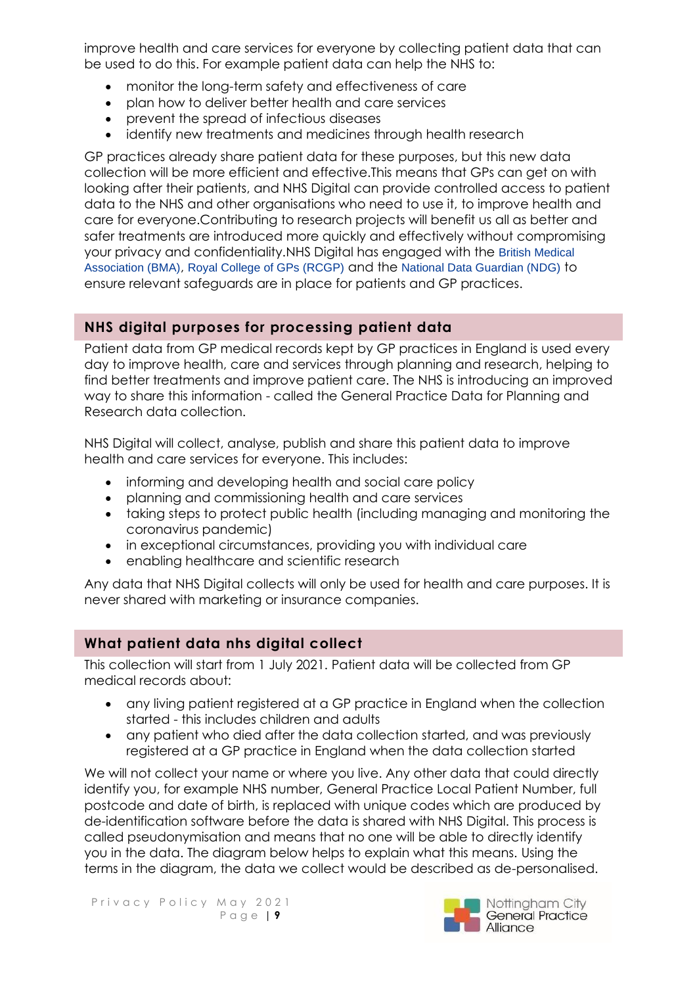improve health and care services for everyone by collecting patient data that can be used to do this. For example patient data can help the NHS to:

- monitor the long-term safety and effectiveness of care
- plan how to deliver better health and care services
- prevent the spread of infectious diseases
- identify new treatments and medicines through health research

GP practices already share patient data for these purposes, but this new data collection will be more efficient and effective.This means that GPs can get on with looking after their patients, and NHS Digital can provide controlled access to patient data to the NHS and other organisations who need to use it, to improve health and care for everyone.Contributing to research projects will benefit us all as better and safer treatments are introduced more quickly and effectively without compromising your privacy and confidentiality.NHS Digital has engaged with the [British Medical](http://www.bma.org.uk/)  [Association \(BMA\)](http://www.bma.org.uk/), [Royal College of GPs \(RCGP\)](http://www.rcgp.org.uk/) and the [National Data Guardian \(NDG\)](http://www.gov.uk/government/organisations/national-data-guardian) to ensure relevant safeguards are in place for patients and GP practices.

## **NHS digital purposes for processing patient data**

Patient data from GP medical records kept by GP practices in England is used every day to improve health, care and services through planning and research, helping to find better treatments and improve patient care. The NHS is introducing an improved way to share this information - called the General Practice Data for Planning and Research data collection.

NHS Digital will collect, analyse, publish and share this patient data to improve health and care services for everyone. This includes:

- informing and developing health and social care policy
- planning and commissioning health and care services
- taking steps to protect public health (including managing and monitoring the coronavirus pandemic)
- in exceptional circumstances, providing you with individual care
- enabling healthcare and scientific research

Any data that NHS Digital collects will only be used for health and care purposes. It is never shared with marketing or insurance companies.

## **What patient data nhs digital collect**

This collection will start from 1 July 2021. Patient data will be collected from GP medical records about:

- any living patient registered at a GP practice in England when the collection started - this includes children and adults
- any patient who died after the data collection started, and was previously registered at a GP practice in England when the data collection started

We will not collect your name or where you live. Any other data that could directly identify you, for example NHS number, General Practice Local Patient Number, full postcode and date of birth, is replaced with unique codes which are produced by de-identification software before the data is shared with NHS Digital. This process is called pseudonymisation and means that no one will be able to directly identify you in the data. The diagram below helps to explain what this means. Using the terms in the diagram, the data we collect would be described as de-personalised.

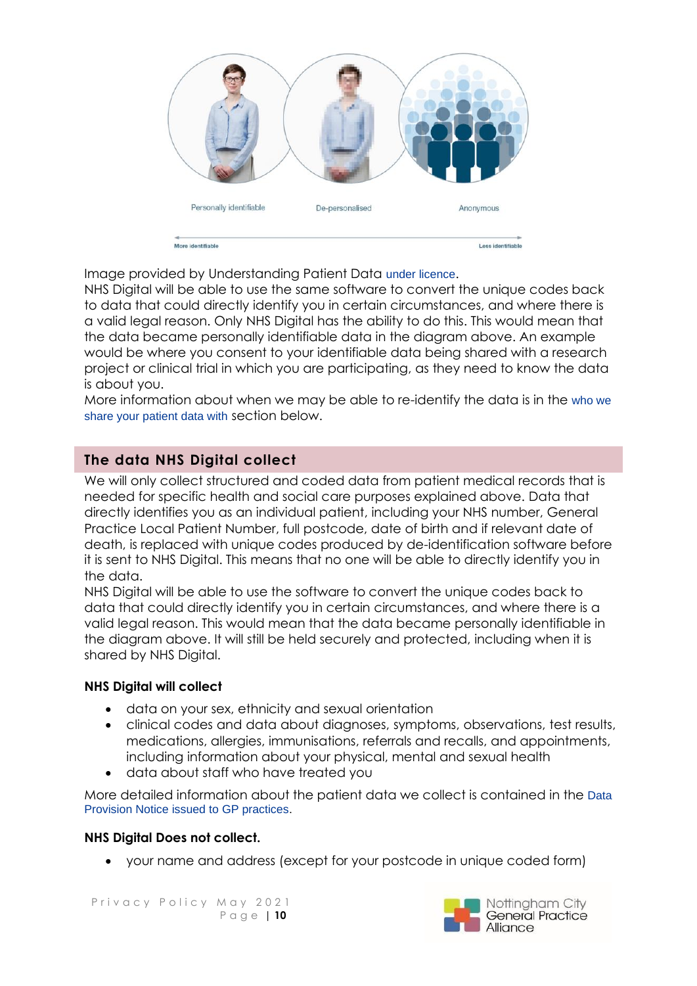

Image provided by Understanding Patient Data [under licence](https://creativecommons.org/licenses/by/2.0/).

NHS Digital will be able to use the same software to convert the unique codes back to data that could directly identify you in certain circumstances, and where there is a valid legal reason. Only NHS Digital has the ability to do this. This would mean that the data became personally identifiable data in the diagram above. An example would be where you consent to your identifiable data being shared with a research project or clinical trial in which you are participating, as they need to know the data is about you.

More information about when we may be able to re-identify the data is in the [who we](https://digital.nhs.uk/data-and-information/data-collections-and-data-sets/data-collections/general-practice-data-for-planning-and-research/transparency-notice#who-we-share-your-patient-data-with)  [share your patient data with](https://digital.nhs.uk/data-and-information/data-collections-and-data-sets/data-collections/general-practice-data-for-planning-and-research/transparency-notice#who-we-share-your-patient-data-with) section below.

## **The data NHS Digital collect**

We will only collect structured and coded data from patient medical records that is needed for specific health and social care purposes explained above. Data that directly identifies you as an individual patient, including your NHS number, General Practice Local Patient Number, full postcode, date of birth and if relevant date of death, is replaced with unique codes produced by de-identification software before it is sent to NHS Digital. This means that no one will be able to directly identify you in the data.

NHS Digital will be able to use the software to convert the unique codes back to data that could directly identify you in certain circumstances, and where there is a valid legal reason. This would mean that the data became personally identifiable in the diagram above. It will still be held securely and protected, including when it is shared by NHS Digital.

### **NHS Digital will collect**

- data on your sex, ethnicity and sexual orientation
- clinical codes and data about diagnoses, symptoms, observations, test results, medications, allergies, immunisations, referrals and recalls, and appointments, including information about your physical, mental and sexual health
- data about staff who have treated you

More detailed information about the patient data we collect is contained in the [Data](https://digital.nhs.uk/about-nhs-digital/corporate-information-and-documents/directions-and-data-provision-notices/data-provision-notices-dpns/general-practice-data-for-planning-and-research)  [Provision Notice issued to GP practices.](https://digital.nhs.uk/about-nhs-digital/corporate-information-and-documents/directions-and-data-provision-notices/data-provision-notices-dpns/general-practice-data-for-planning-and-research)

#### **NHS Digital Does not collect.**

• your name and address (except for your postcode in unique coded form)

Privacy Policy May 2021 P a g e | **10**

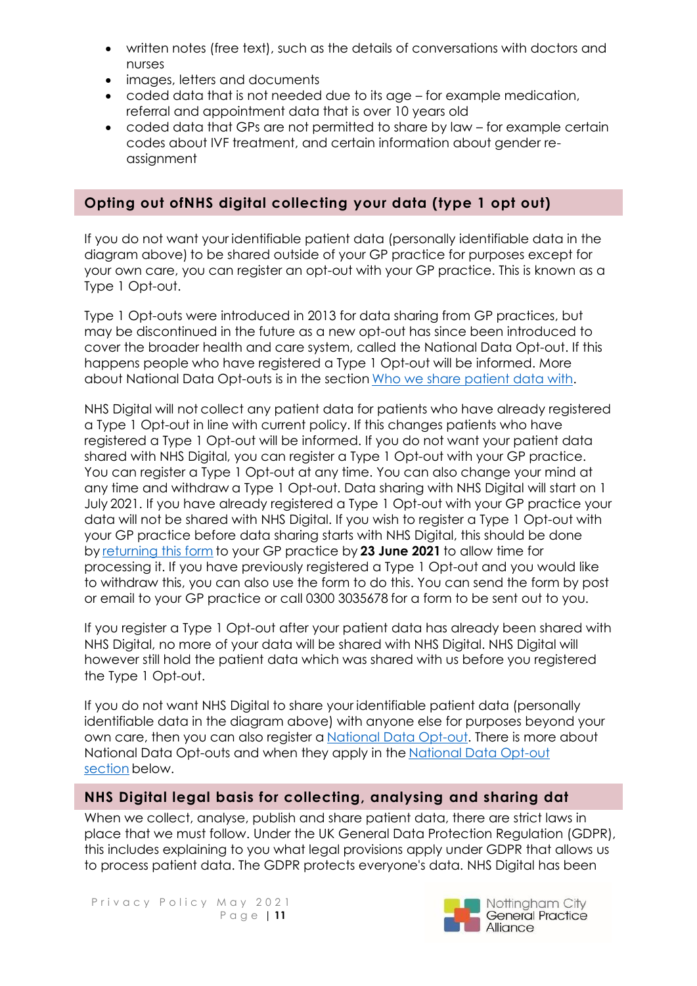- written notes (free text), such as the details of conversations with doctors and nurses
- images, letters and documents
- coded data that is not needed due to its age for example medication, referral and appointment data that is over 10 years old
- coded data that GPs are not permitted to share by law for example certain codes about IVF treatment, and certain information about gender reassignment

## **Opting out ofNHS digital collecting your data (type 1 opt out)**

If you do not want your identifiable patient data (personally identifiable data in the diagram above) to be shared outside of your GP practice for purposes except for your own care, you can register an opt-out with your GP practice. This is known as a Type 1 Opt-out.

Type 1 Opt-outs were introduced in 2013 for data sharing from GP practices, but may be discontinued in the future as a new opt-out has since been introduced to cover the broader health and care system, called the National Data Opt-out. If this happens people who have registered a Type 1 Opt-out will be informed. More about National Data Opt-outs is in the section [Who we share patient data with.](https://digital.nhs.uk/data-and-information/data-collections-and-data-sets/data-collections/general-practice-data-for-planning-and-research/transparency-notice#who-we-share-patient-data-with)

NHS Digital will not collect any patient data for patients who have already registered a Type 1 Opt-out in line with current policy. If this changes patients who have registered a Type 1 Opt-out will be informed. If you do not want your patient data shared with NHS Digital, you can register a Type 1 Opt-out with your GP practice. You can register a Type 1 Opt-out at any time. You can also change your mind at any time and withdraw a Type 1 Opt-out. Data sharing with NHS Digital will start on 1 July 2021. If you have already registered a Type 1 Opt-out with your GP practice your data will not be shared with NHS Digital. If you wish to register a Type 1 Opt-out with your GP practice before data sharing starts with NHS Digital, this should be done by [returning this form](https://nhs-prod.global.ssl.fastly.net/binaries/content/assets/website-assets/data-and-information/data-collections/general-practice-data-for-planning-and-research/type-1-opt-out-form.docx) to your GP practice by **23 June 2021** to allow time for processing it. If you have previously registered a Type 1 Opt-out and you would like to withdraw this, you can also use the form to do this. You can send the form by post or email to your GP practice or call 0300 3035678 for a form to be sent out to you.

If you register a Type 1 Opt-out after your patient data has already been shared with NHS Digital, no more of your data will be shared with NHS Digital. NHS Digital will however still hold the patient data which was shared with us before you registered the Type 1 Opt-out.

If you do not want NHS Digital to share your identifiable patient data (personally identifiable data in the diagram above) with anyone else for purposes beyond your own care, then you can also register a [National Data Opt-out.](https://www.nhs.uk/your-nhs-data-matters/) There is more about National Data Opt-outs and when they apply in the [National Data Opt-out](https://digital.nhs.uk/data-and-information/data-collections-and-data-sets/data-collections/general-practice-data-for-planning-and-research/transparency-notice#national-data-opt-out-opting-out-of-nhs-digital-sharing-your-data-)  [section](https://digital.nhs.uk/data-and-information/data-collections-and-data-sets/data-collections/general-practice-data-for-planning-and-research/transparency-notice#national-data-opt-out-opting-out-of-nhs-digital-sharing-your-data-) below.

## **NHS Digital legal basis for collecting, analysing and sharing dat**

When we collect, analyse, publish and share patient data, there are strict laws in place that we must follow. Under the UK General Data Protection Regulation (GDPR), this includes explaining to you what legal provisions apply under GDPR that allows us to process patient data. The GDPR protects everyone's data. NHS Digital has been

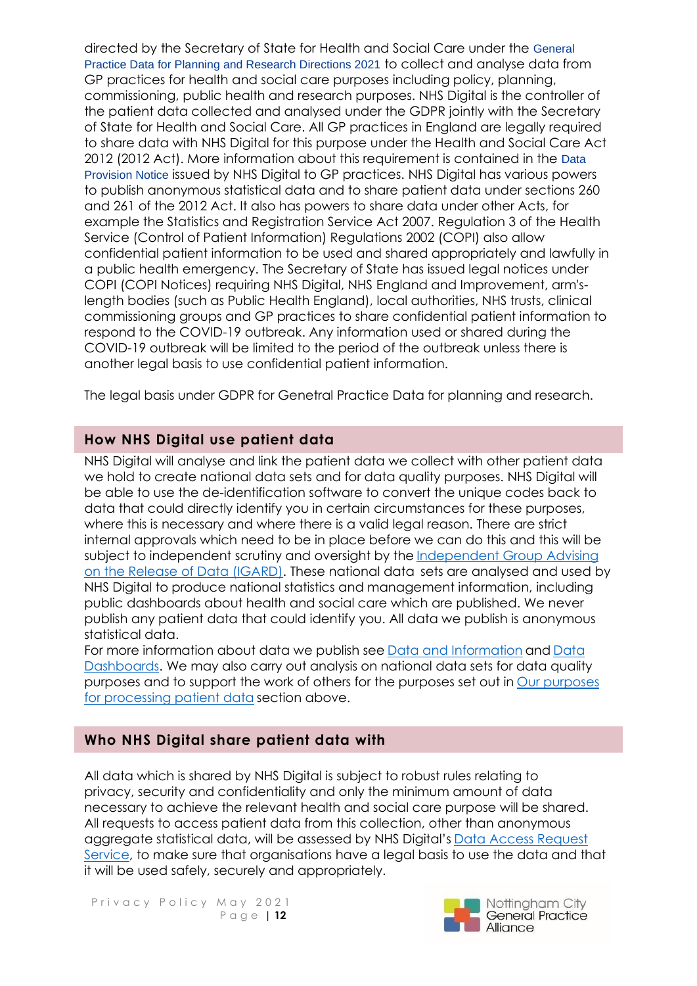directed by the Secretary of State for Health and Social Care under the [General](https://digital.nhs.uk/about-nhs-digital/corporate-information-and-documents/directions-and-data-provision-notices/secretary-of-state-directions/general-practice-data-for-planning-and-research-directions-2021)  [Practice Data for Planning and Research Directions 2021](https://digital.nhs.uk/about-nhs-digital/corporate-information-and-documents/directions-and-data-provision-notices/secretary-of-state-directions/general-practice-data-for-planning-and-research-directions-2021) to collect and analyse data from GP practices for health and social care purposes including policy, planning, commissioning, public health and research purposes. NHS Digital is the controller of the patient data collected and analysed under the GDPR jointly with the Secretary of State for Health and Social Care. All GP practices in England are legally required to share data with NHS Digital for this purpose under the Health and Social Care Act 2012 (2012 Act). More information about this requirement is contained in the [Data](https://digital.nhs.uk/about-nhs-digital/corporate-information-and-documents/directions-and-data-provision-notices/data-provision-notices-dpns/general-practice-data-for-planning-and-research)  [Provision Notice](https://digital.nhs.uk/about-nhs-digital/corporate-information-and-documents/directions-and-data-provision-notices/data-provision-notices-dpns/general-practice-data-for-planning-and-research) issued by NHS Digital to GP practices. NHS Digital has various powers to publish anonymous statistical data and to share patient data under sections 260 and 261 of the 2012 Act. It also has powers to share data under other Acts, for example the Statistics and Registration Service Act 2007. Regulation 3 of the Health Service (Control of Patient Information) Regulations 2002 (COPI) also allow confidential patient information to be used and shared appropriately and lawfully in a public health emergency. The Secretary of State has issued legal notices under COPI (COPI Notices) requiring NHS Digital, NHS England and Improvement, arm'slength bodies (such as Public Health England), local authorities, NHS trusts, clinical commissioning groups and GP practices to share confidential patient information to respond to the COVID-19 outbreak. Any information used or shared during the COVID-19 outbreak will be limited to the period of the outbreak unless there is another legal basis to use confidential patient information.

The legal basis under GDPR for Genetral Practice Data for planning and research.

## **How NHS Digital use patient data**

NHS Digital will analyse and link the patient data we collect with other patient data we hold to create national data sets and for data quality purposes. NHS Digital will be able to use the de-identification software to convert the unique codes back to data that could directly identify you in certain circumstances for these purposes, where this is necessary and where there is a valid legal reason. There are strict internal approvals which need to be in place before we can do this and this will be subject to independent scrutiny and oversight by the [Independent Group Advising](https://digital.nhs.uk/about-nhs-digital/corporate-information-and-documents/independent-group-advising-on-the-release-of-data)  [on the Release of Data \(IGARD\).](https://digital.nhs.uk/about-nhs-digital/corporate-information-and-documents/independent-group-advising-on-the-release-of-data) These national data sets are analysed and used by NHS Digital to produce national statistics and management information, including public dashboards about health and social care which are published. We never publish any patient data that could identify you. All data we publish is anonymous statistical data.

For more information about data we publish see [Data and Information](https://digital.nhs.uk/data) and [Data](https://digital.nhs.uk/dashboards)  [Dashboards.](https://digital.nhs.uk/dashboards) We may also carry out analysis on national data sets for data quality purposes and to support the work of others for the purposes set out in [Our purposes](https://digital.nhs.uk/data-and-information/data-collections-and-data-sets/data-collections/general-practice-data-for-planning-and-research/transparency-notice#our-purposes-for-processing-patient-data)  [for processing patient data](https://digital.nhs.uk/data-and-information/data-collections-and-data-sets/data-collections/general-practice-data-for-planning-and-research/transparency-notice#our-purposes-for-processing-patient-data) section above.

## **Who NHS Digital share patient data with**

All data which is shared by NHS Digital is subject to robust rules relating to privacy, security and confidentiality and only the minimum amount of data necessary to achieve the relevant health and social care purpose will be shared. All requests to access patient data from this collection, other than anonymous aggregate statistical data, will be assessed by NHS Digital's [Data Access Request](https://digital.nhs.uk/services/data-access-request-service-dars)  [Service,](https://digital.nhs.uk/services/data-access-request-service-dars) to make sure that organisations have a legal basis to use the data and that it will be used safely, securely and appropriately.

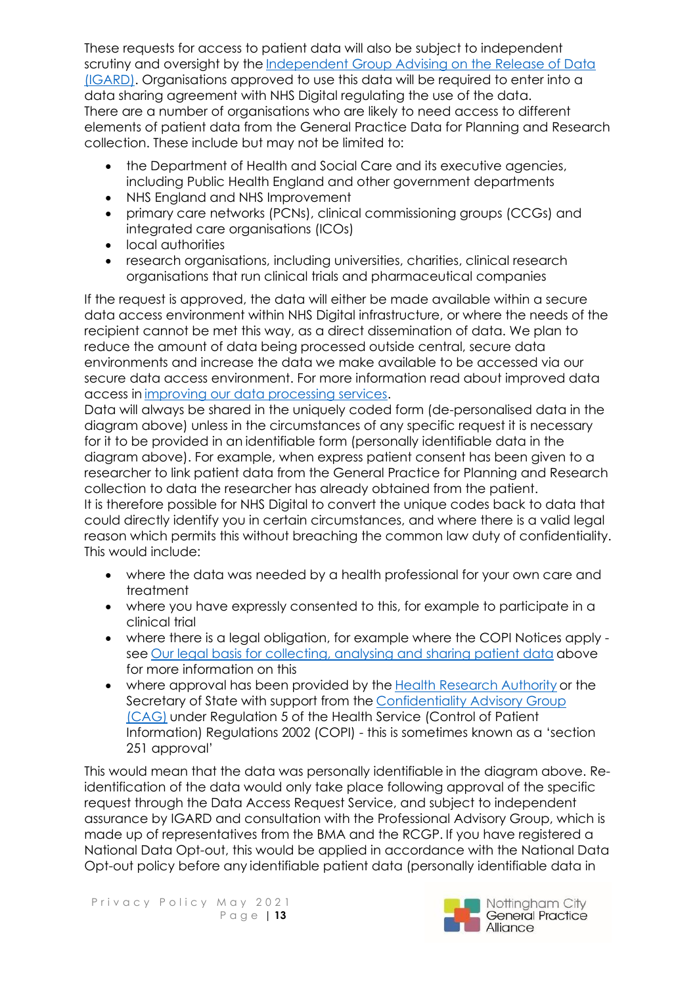These requests for access to patient data will also be subject to independent scrutiny and oversight by the [Independent Group Advising on the Release of Data](https://digital.nhs.uk/about-nhs-digital/corporate-information-and-documents/independent-group-advising-on-the-release-of-data)  [\(IGARD\).](https://digital.nhs.uk/about-nhs-digital/corporate-information-and-documents/independent-group-advising-on-the-release-of-data) Organisations approved to use this data will be required to enter into a data sharing agreement with NHS Digital regulating the use of the data. There are a number of organisations who are likely to need access to different elements of patient data from the General Practice Data for Planning and Research collection. These include but may not be limited to:

- the Department of Health and Social Care and its executive agencies, including Public Health England and other government departments
- NHS England and NHS Improvement
- primary care networks (PCNs), clinical commissioning groups (CCGs) and integrated care organisations (ICOs)
- local authorities
- research organisations, including universities, charities, clinical research organisations that run clinical trials and pharmaceutical companies

If the request is approved, the data will either be made available within a secure data access environment within NHS Digital infrastructure, or where the needs of the recipient cannot be met this way, as a direct dissemination of data. We plan to reduce the amount of data being processed outside central, secure data environments and increase the data we make available to be accessed via our secure data access environment. For more information read about improved data access in [improving our data processing services.](https://digital.nhs.uk/data-and-information/data-insights-and-statistics/improving-our-data-processing-services)

Data will always be shared in the uniquely coded form (de-personalised data in the diagram above) unless in the circumstances of any specific request it is necessary for it to be provided in an identifiable form (personally identifiable data in the diagram above). For example, when express patient consent has been given to a researcher to link patient data from the General Practice for Planning and Research collection to data the researcher has already obtained from the patient. It is therefore possible for NHS Digital to convert the unique codes back to data that could directly identify you in certain circumstances, and where there is a valid legal reason which permits this without breaching the common law duty of confidentiality. This would include:

- where the data was needed by a health professional for your own care and treatment
- where you have expressly consented to this, for example to participate in a clinical trial
- where there is a legal obligation, for example where the COPI Notices apply see [Our legal basis for collecting, analysing and sharing patient data](https://digital.nhs.uk/data-and-information/data-collections-and-data-sets/data-collections/general-practice-data-for-planning-and-research/transparency-notice#our-legal-basis-for-collecting-analysing-and-sharing-patient-data) above for more information on this
- where approval has been provided by the [Health Research Authority](https://www.hra.nhs.uk/) or the Secretary of State with support from the [Confidentiality Advisory Group](https://www.hra.nhs.uk/about-us/committees-and-services/confidentiality-advisory-group/)  [\(CAG\)](https://www.hra.nhs.uk/about-us/committees-and-services/confidentiality-advisory-group/) under Regulation 5 of the Health Service (Control of Patient Information) Regulations 2002 (COPI) - this is sometimes known as a 'section 251 approval'

This would mean that the data was personally identifiable in the diagram above. Reidentification of the data would only take place following approval of the specific request through the Data Access Request Service, and subject to independent assurance by IGARD and consultation with the Professional Advisory Group, which is made up of representatives from the BMA and the RCGP. If you have registered a National Data Opt-out, this would be applied in accordance with the National Data Opt-out policy before any identifiable patient data (personally identifiable data in

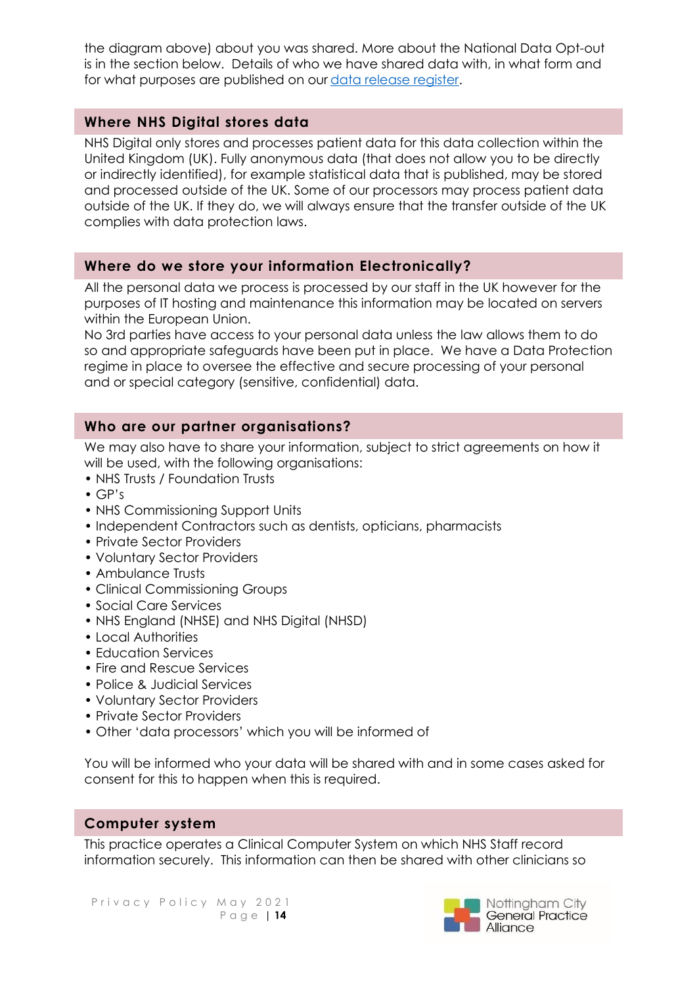the diagram above) about you was shared. More about the National Data Opt-out is in the section below. Details of who we have shared data with, in what form and for what purposes are published on our [data release register.](https://digital.nhs.uk/services/data-access-request-service-dars/register-of-approved-data-releases)

## **Where NHS Digital stores data**

NHS Digital only stores and processes patient data for this data collection within the United Kingdom (UK). Fully anonymous data (that does not allow you to be directly or indirectly identified), for example statistical data that is published, may be stored and processed outside of the UK. Some of our processors may process patient data outside of the UK. If they do, we will always ensure that the transfer outside of the UK complies with data protection laws.

### **Where do we store your information Electronically?**

All the personal data we process is processed by our staff in the UK however for the purposes of IT hosting and maintenance this information may be located on servers within the European Union.

No 3rd parties have access to your personal data unless the law allows them to do so and appropriate safeguards have been put in place. We have a Data Protection regime in place to oversee the effective and secure processing of your personal and or special category (sensitive, confidential) data.

## **Who are our partner organisations?**

We may also have to share your information, subject to strict agreements on how it will be used, with the following organisations:

- NHS Trusts / Foundation Trusts
- GP's
- NHS Commissioning Support Units
- Independent Contractors such as dentists, opticians, pharmacists
- Private Sector Providers
- Voluntary Sector Providers
- Ambulance Trusts
- Clinical Commissioning Groups
- Social Care Services
- NHS England (NHSE) and NHS Digital (NHSD)
- Local Authorities
- Education Services
- Fire and Rescue Services
- Police & Judicial Services
- Voluntary Sector Providers
- Private Sector Providers
- Other 'data processors' which you will be informed of

You will be informed who your data will be shared with and in some cases asked for consent for this to happen when this is required.

### **Computer system**

This practice operates a Clinical Computer System on which NHS Staff record information securely. This information can then be shared with other clinicians so

Privacy Policy May 2021 P a g e | **14**

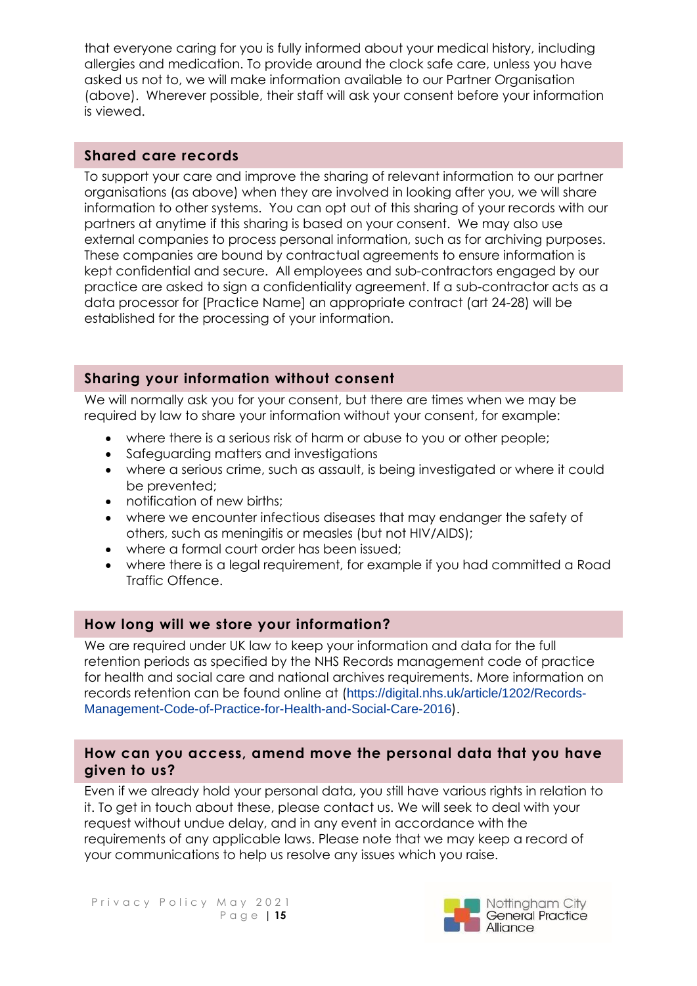that everyone caring for you is fully informed about your medical history, including allergies and medication. To provide around the clock safe care, unless you have asked us not to, we will make information available to our Partner Organisation (above). Wherever possible, their staff will ask your consent before your information is viewed.

### **Shared care records**

To support your care and improve the sharing of relevant information to our partner organisations (as above) when they are involved in looking after you, we will share information to other systems. You can opt out of this sharing of your records with our partners at anytime if this sharing is based on your consent. We may also use external companies to process personal information, such as for archiving purposes. These companies are bound by contractual agreements to ensure information is kept confidential and secure. All employees and sub-contractors engaged by our practice are asked to sign a confidentiality agreement. If a sub-contractor acts as a data processor for [Practice Name] an appropriate contract (art 24-28) will be established for the processing of your information.

## **Sharing your information without consent**

We will normally ask you for your consent, but there are times when we may be required by law to share your information without your consent, for example:

- where there is a serious risk of harm or abuse to you or other people;
- Safeguarding matters and investigations
- where a serious crime, such as assault, is being investigated or where it could be prevented;
- notification of new births:
- where we encounter infectious diseases that may endanger the safety of others, such as meningitis or measles (but not HIV/AIDS);
- where a formal court order has been issued;
- where there is a legal requirement, for example if you had committed a Road Traffic Offence.

## **How long will we store your information?**

We are required under UK law to keep your information and data for the full retention periods as specified by the NHS Records management code of practice for health and social care and national archives requirements. More information on records retention can be found online at ([https://digital.nhs.uk/article/1202/Records-](https://digital.nhs.uk/article/1202/Records-Management-Code-of-Practice-for-Health-and-Social-Care-2016)[Management-Code-of-Practice-for-Health-and-Social-Care-2016](https://digital.nhs.uk/article/1202/Records-Management-Code-of-Practice-for-Health-and-Social-Care-2016)).

## **How can you access, amend move the personal data that you have given to us?**

Even if we already hold your personal data, you still have various rights in relation to it. To get in touch about these, please contact us. We will seek to deal with your request without undue delay, and in any event in accordance with the requirements of any applicable laws. Please note that we may keep a record of your communications to help us resolve any issues which you raise.

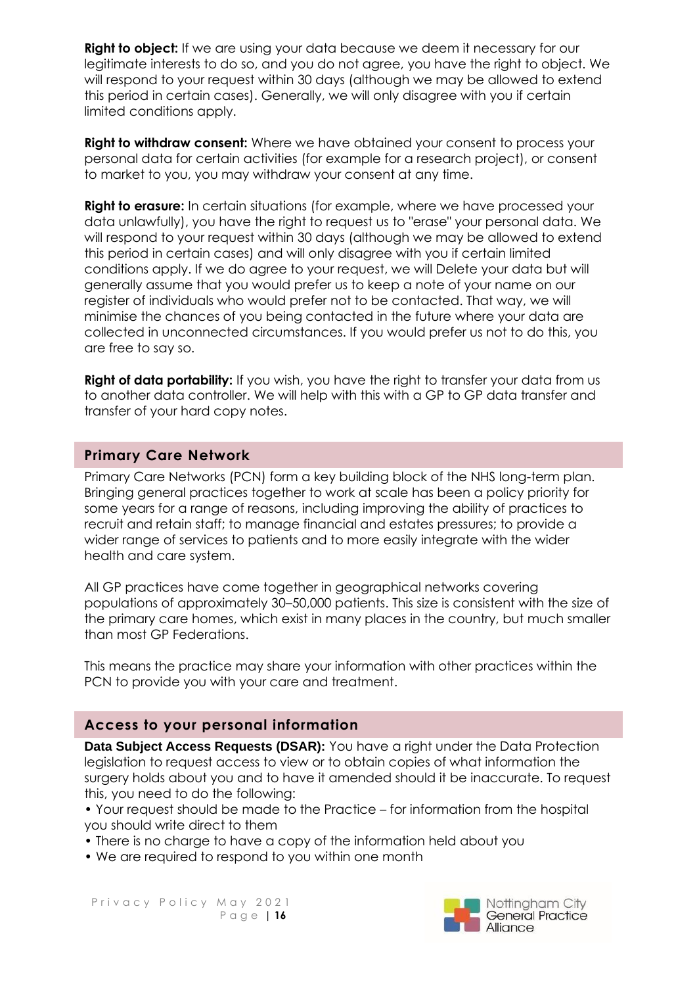**Right to object:** If we are using your data because we deem it necessary for our legitimate interests to do so, and you do not agree, you have the right to object. We will respond to your request within 30 days (although we may be allowed to extend this period in certain cases). Generally, we will only disagree with you if certain limited conditions apply.

**Right to withdraw consent:** Where we have obtained your consent to process your personal data for certain activities (for example for a research project), or consent to market to you, you may withdraw your consent at any time.

**Right to erasure:** In certain situations (for example, where we have processed your data unlawfully), you have the right to request us to "erase" your personal data. We will respond to your request within 30 days (although we may be allowed to extend this period in certain cases) and will only disagree with you if certain limited conditions apply. If we do agree to your request, we will Delete your data but will generally assume that you would prefer us to keep a note of your name on our register of individuals who would prefer not to be contacted. That way, we will minimise the chances of you being contacted in the future where your data are collected in unconnected circumstances. If you would prefer us not to do this, you are free to say so.

**Right of data portability:** If you wish, you have the right to transfer your data from us to another data controller. We will help with this with a GP to GP data transfer and transfer of your hard copy notes.

### **Primary Care Network**

Primary Care Networks (PCN) form a key building block of the NHS long-term plan. Bringing general practices together to work at scale has been a policy priority for some years for a range of reasons, including improving the ability of practices to recruit and retain staff; to manage financial and estates pressures; to provide a wider range of services to patients and to more easily integrate with the wider health and care system.

All GP practices have come together in geographical networks covering populations of approximately 30–50,000 patients. This size is consistent with the size of the primary care homes, which exist in many places in the country, but much smaller than most GP Federations.

This means the practice may share your information with other practices within the PCN to provide you with your care and treatment.

### **Access to your personal information**

**Data Subject Access Requests (DSAR):** You have a right under the Data Protection legislation to request access to view or to obtain copies of what information the surgery holds about you and to have it amended should it be inaccurate. To request this, you need to do the following:

• Your request should be made to the Practice – for information from the hospital you should write direct to them

- There is no charge to have a copy of the information held about you
- We are required to respond to you within one month

Privacy Policy May 2021 P a g e | **16**

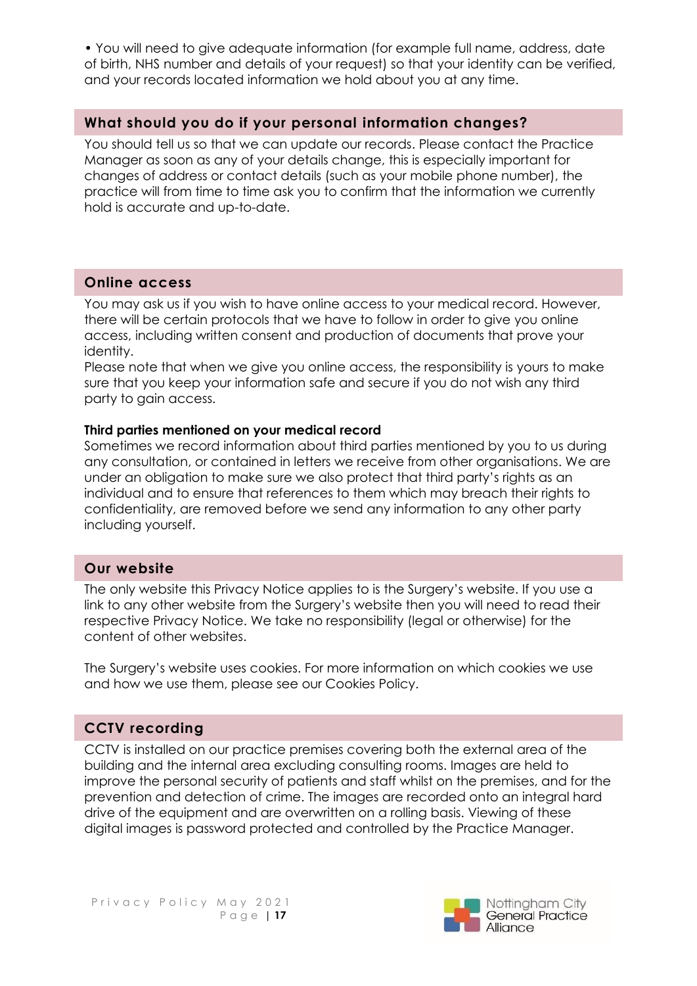• You will need to give adequate information (for example full name, address, date of birth, NHS number and details of your request) so that your identity can be verified, and your records located information we hold about you at any time.

## **What should you do if your personal information changes?**

You should tell us so that we can update our records. Please contact the Practice Manager as soon as any of your details change, this is especially important for changes of address or contact details (such as your mobile phone number), the practice will from time to time ask you to confirm that the information we currently hold is accurate and up-to-date.

## **Online access**

You may ask us if you wish to have online access to your medical record. However, there will be certain protocols that we have to follow in order to give you online access, including written consent and production of documents that prove your identity.

Please note that when we give you online access, the responsibility is yours to make sure that you keep your information safe and secure if you do not wish any third party to gain access.

### **Third parties mentioned on your medical record**

Sometimes we record information about third parties mentioned by you to us during any consultation, or contained in letters we receive from other organisations. We are under an obligation to make sure we also protect that third party's rights as an individual and to ensure that references to them which may breach their rights to confidentiality, are removed before we send any information to any other party including yourself.

## **Our website**

The only website this Privacy Notice applies to is the Surgery's website. If you use a link to any other website from the Surgery's website then you will need to read their respective Privacy Notice. We take no responsibility (legal or otherwise) for the content of other websites.

The Surgery's website uses cookies. For more information on which cookies we use and how we use them, please see our Cookies Policy.

## **CCTV recording**

CCTV is installed on our practice premises covering both the external area of the building and the internal area excluding consulting rooms. Images are held to improve the personal security of patients and staff whilst on the premises, and for the prevention and detection of crime. The images are recorded onto an integral hard drive of the equipment and are overwritten on a rolling basis. Viewing of these digital images is password protected and controlled by the Practice Manager.